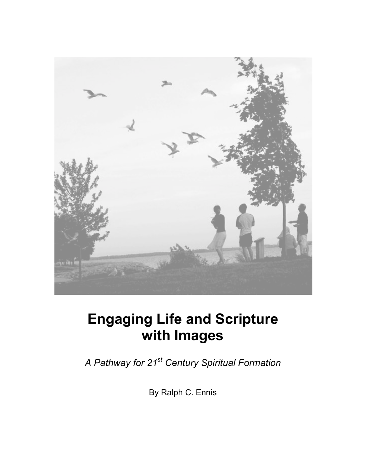

# **Engaging Life and Scripture with Images**

*A Pathway for 21st Century Spiritual Formation*

By Ralph C. Ennis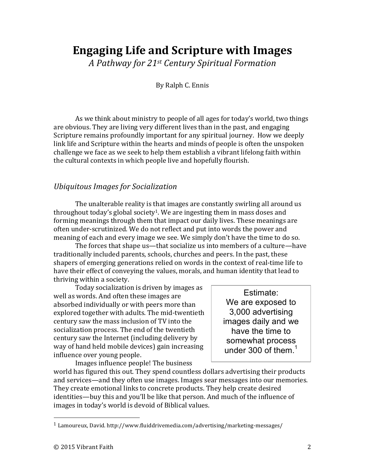# **Engaging Life!and!Scripture!with!Images**

*A"Pathway for"21st Century"Spiritual"Formation*

By Ralph C. Ennis

As we think about ministry to people of all ages for today's world, two things are obvious. They are living very different lives than in the past, and engaging Scripture remains profoundly important for any spiritual journey. How we deeply link life and Scripture within the hearts and minds of people is often the unspoken challenge we face as we seek to help them establish a vibrant lifelong faith within the cultural contexts in which people live and hopefully flourish.

# *Ubiquitous"Images"for"Socialization*

The unalterable reality is that images are constantly swirling all around us" throughout today's global society<sup>1</sup>. We are ingesting them in mass doses and forming meanings through them that impact our daily lives. These meanings are often under-scrutinized. We do not reflect and put into words the power and meaning of each and every image we see. We simply don't have the time to do so.

The forces that shape us—that socialize us into members of a culture—have traditionally included parents, schools, churches and peers. In the past, these shapers of emerging generations relied on words in the context of real-time life to have their effect of conveying the values, morals, and human identity that lead to thriving within a society.

Today socialization is driven by images as well as words. And often these images are absorbed individually or with peers more than explored together with adults. The mid-twentieth century saw the mass inclusion of TV into the socialization process. The end of the twentieth century saw the Internet (including delivery by way of hand held mobile devices) gain increasing influence over young people.

Estimate: We are exposed to 3,000 advertising images daily and we have the time to somewhat process under 300 of them. $<sup>1</sup>$ </sup>

Images influence people! The business

world has figured this out. They spend countless dollars advertising their products and services—and they often use images. Images sear messages into our memories. They create emotional links to concrete products. They help create desired identities—buy this and you'll be like that person. And much of the influence of images in today's world is devoid of Biblical values.

<sup>&</sup>lt;sup>1</sup> Lamoureux, David. http://www.fluiddrivemedia.com/advertising/marketing-messages/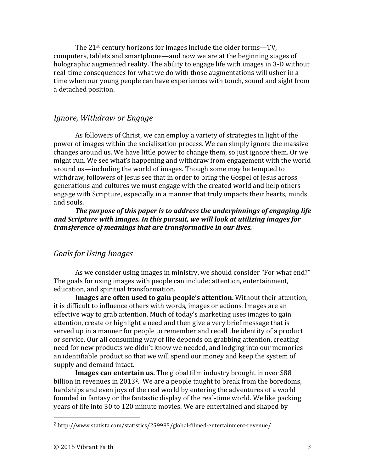The  $21$ <sup>st</sup> century horizons for images include the older forms—TV, computers, tablets and smartphone—and now we are at the beginning stages of holographic augmented reality. The ability to engage life with images in 3-D without real-time consequences for what we do with those augmentations will usher in a time when our young people can have experiences with touch, sound and sight from a detached position.

# *Ignore, Withdraw or Engage*

As followers of Christ, we can employ a variety of strategies in light of the power of images within the socialization process. We can simply ignore the massive changes around us. We have little power to change them, so just ignore them. Or we might run. We see what's happening and withdraw from engagement with the world around us—including the world of images. Though some may be tempted to withdraw, followers of Jesus see that in order to bring the Gospel of Jesus across generations and cultures we must engage with the created world and help others engage with Scripture, especially in a manner that truly impacts their hearts, minds and souls.

The purpose of this paper is to address the underpinnings of engaging life and Scripture with images. In this pursuit, we will look at utilizing images for *transference of meanings that are transformative in our lives.* 

# Goals for Using Images

As we consider using images in ministry, we should consider "For what end?" The goals for using images with people can include: attention, entertainment, education, and spiritual transformation.

**Images are often used to gain people's attention.** Without their attention, it is difficult to influence others with words, images or actions. Images are an effective way to grab attention. Much of today's marketing uses images to gain attention, create or highlight a need and then give a very brief message that is served up in a manner for people to remember and recall the identity of a product or service. Our all consuming way of life depends on grabbing attention, creating need for new products we didn't know we needed, and lodging into our memories an identifiable product so that we will spend our money and keep the system of supply and demand intact.

**Images can entertain us.** The global film industry brought in over \$88 billion in revenues in 2013<sup>2</sup>. We are a people taught to break from the boredoms, hardships and even joys of the real world by entering the adventures of a world founded in fantasy or the fantastic display of the real-time world. We like packing years of life into 30 to 120 minute movies. We are entertained and shaped by

 $2$  http://www.statista.com/statistics/259985/global-filmed-entertainment-revenue/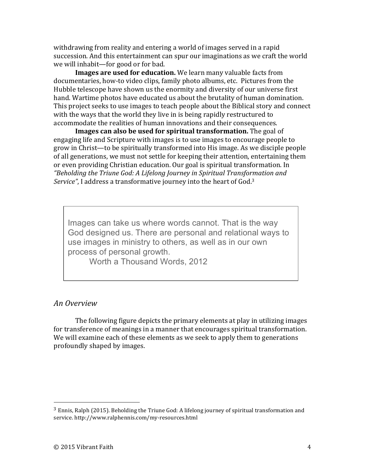withdrawing from reality and entering a world of images served in a rapid succession. And this entertainment can spur our imaginations as we craft the world we will inhabit—for good or for bad.

**Images are used for education.** We learn many valuable facts from documentaries, how-to video clips, family photo albums, etc. Pictures from the Hubble telescope have shown us the enormity and diversity of our universe first hand. Wartime photos have educated us about the brutality of human domination. This project seeks to use images to teach people about the Biblical story and connect with the ways that the world they live in is being rapidly restructured to accommodate the realities of human innovations and their consequences.

**Images can also be used for spiritual transformation.** The goal of engaging life and Scripture with images is to use images to encourage people to grow in Christ—to be spiritually transformed into His image. As we disciple people of all generations, we must not settle for keeping their attention, entertaining them or even providing Christian education. Our goal is spiritual transformation. In "Beholding the Triune God: A Lifelong Journey in Spiritual Transformation and *Service"*, I address a transformative journey into the heart of God.<sup>3</sup>

Images can take us where words cannot. That is the way God designed us. There are personal and relational ways to use images in ministry to others, as well as in our own process of personal growth.

Worth a Thousand Words, 2012

#### *An"Overview*

The following figure depicts the primary elements at play in utilizing images for transference of meanings in a manner that encourages spiritual transformation. We will examine each of these elements as we seek to apply them to generations profoundly shaped by images.

 $3$  Ennis, Ralph (2015). Beholding the Triune God: A lifelong journey of spiritual transformation and service. http://www.ralphennis.com/my-resources.html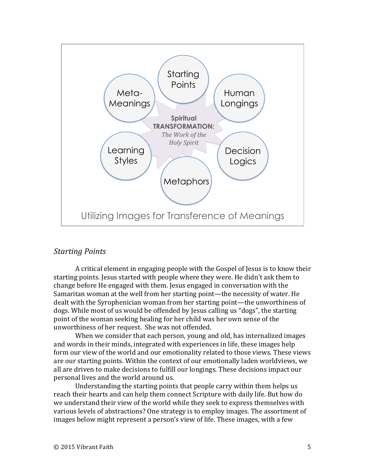

#### **Starting Points**

A critical element in engaging people with the Gospel of Jesus is to know their starting points. Jesus started with people where they were. He didn't ask them to change before He engaged with them. Jesus engaged in conversation with the Samaritan woman at the well from her starting point—the necessity of water. He dealt with the Syrophenician woman from her starting point—the unworthiness of dogs. While most of us would be offended by Jesus calling us "dogs", the starting point of the woman seeking healing for her child was her own sense of the unworthiness of her request. She was not offended.

When we consider that each person, young and old, has internalized images and words in their minds, integrated with experiences in life, these images help form our view of the world and our emotionality related to those views. These views are our starting points. Within the context of our emotionally laden worldviews, we all are driven to make decisions to fulfill our longings. These decisions impact our personal lives and the world around us.

Understanding the starting points that people carry within them helps us reach their hearts and can help them connect Scripture with daily life. But how do we understand their view of the world while they seek to express themselves with various levels of abstractions? One strategy is to employ images. The assortment of images below might represent a person's view of life. These images, with a few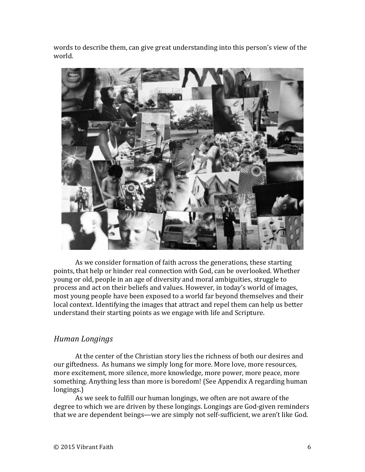words to describe them, can give great understanding into this person's view of the world.



As we consider formation of faith across the generations, these starting points, that help or hinder real connection with God, can be overlooked. Whether young or old, people in an age of diversity and moral ambiguities, struggle to process and act on their beliefs and values. However, in today's world of images, most young people have been exposed to a world far beyond themselves and their local context. Identifying the images that attract and repel them can help us better understand their starting points as we engage with life and Scripture.

# *Human"Longings*

At the center of the Christian story lies the richness of both our desires and our giftedness. As humans we simply long for more. More love, more resources, more excitement, more silence, more knowledge, more power, more peace, more something. Anything less than more is boredom! (See Appendix A regarding human longings.)

As we seek to fulfill our human longings, we often are not aware of the degree to which we are driven by these longings. Longings are God-given reminders that we are dependent beings—we are simply not self-sufficient, we aren't like God.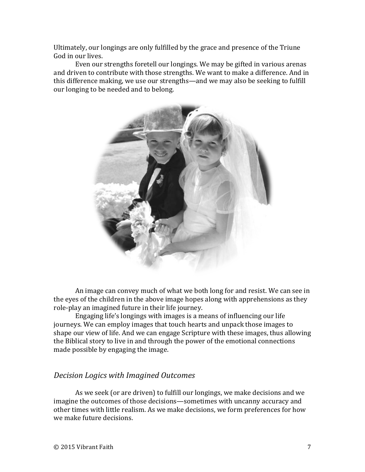Ultimately, our longings are only fulfilled by the grace and presence of the Triune" God in our lives.

Even our strengths foretell our longings. We may be gifted in various arenas and driven to contribute with those strengths. We want to make a difference. And in this difference making, we use our strengths—and we may also be seeking to fulfill our longing to be needed and to belong.



An image can convey much of what we both long for and resist. We can see in the eyes of the children in the above image hopes along with apprehensions as they role-play an imagined future in their life journey.

Engaging life's longings with images is a means of influencing our life" journeys. We can employ images that touch hearts and unpack those images to shape our view of life. And we can engage Scripture with these images, thus allowing the Biblical story to live in and through the power of the emotional connections" made possible by engaging the image.

#### *Decision"Logics with"Imagined"Outcomes*

As we seek (or are driven) to fulfill our longings, we make decisions and we imagine the outcomes of those decisions—sometimes with uncanny accuracy and other times with little realism. As we make decisions, we form preferences for how we make future decisions.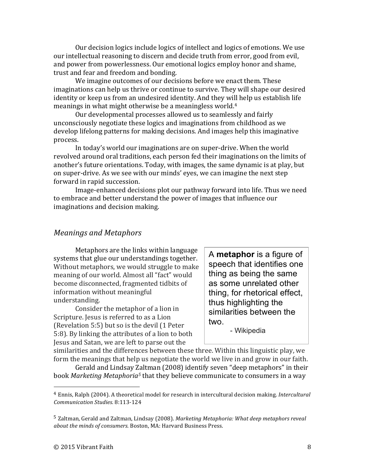Our decision logics include logics of intellect and logics of emotions. We use our intellectual reasoning to discern and decide truth from error, good from evil, and power from powerlessness. Our emotional logics employ honor and shame, trust and fear and freedom and bonding.

We imagine outcomes of our decisions before we enact them. These imaginations can help us thrive or continue to survive. They will shape our desired identity or keep us from an undesired identity. And they will help us establish life meanings in what might otherwise be a meaningless world.<sup>4</sup>

Our developmental processes allowed us to seamlessly and fairly unconsciously negotiate these logics and imaginations from childhood as we develop lifelong patterns for making decisions. And images help this imaginative process.

In today's world our imaginations are on super-drive. When the world revolved around oral traditions, each person fed their imaginations on the limits of another's future orientations. Today, with images, the same dynamic is at play, but on super-drive. As we see with our minds' eyes, we can imagine the next step forward in rapid succession.

Image-enhanced decisions plot our pathway forward into life. Thus we need to embrace and better understand the power of images that influence our imaginations and decision making.

#### *Meanings"and"Metaphors*

Metaphors are the links within language systems that glue our understandings together. Without metaphors, we would struggle to make meaning of our world. Almost all "fact" would become disconnected, fragmented tidbits of information without meaningful understanding.

Consider the metaphor of a lion in Scripture. Jesus is referred to as a Lion (Revelation  $5:5$ ) but so is the devil (1 Peter) 5:8). By linking the attributes of a lion to both Jesus and Satan, we are left to parse out the

A **metaphor** is a figure of speech that identifies one thing as being the same as some unrelated other thing, for rhetorical effect, thus highlighting the similarities between the two.

- Wikipedia

similarities and the differences between these three. Within this linguistic play, we form the meanings that help us negotiate the world we live in and grow in our faith.

Gerald and Lindsay Zaltman (2008) identify seven "deep metaphors" in their book *Marketing Metaphoria<sup>5</sup>* that they believe communicate to consumers in a way

<sup>&</sup>lt;sup>4</sup> Ennis, Ralph (2004). A theoretical model for research in intercultural decision making. *Intercultural Communication Studies.* 8:113-124

<sup>&</sup>lt;sup>5</sup> Zaltman, Gerald and Zaltman, Lindsay (2008). *Marketing Metaphoria: What deep metaphors reveal* about the minds of consumers. Boston, MA: Harvard Business Press.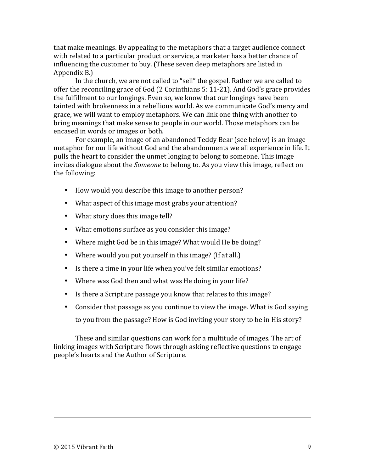that make meanings. By appealing to the metaphors that a target audience connect with related to a particular product or service, a marketer has a better chance of influencing the customer to buy. (These seven deep metaphors are listed in Appendix B.)

In the church, we are not called to "sell" the gospel. Rather we are called to offer the reconciling grace of God  $(2$  Corinthians 5: 11-21). And God's grace provides the fulfillment to our longings. Even so, we know that our longings have been tainted with brokenness in a rebellious world. As we communicate God's mercy and grace, we will want to employ metaphors. We can link one thing with another to bring meanings that make sense to people in our world. Those metaphors can be encased in words or images or both.

For example, an image of an abandoned Teddy Bear (see below) is an image metaphor for our life without God and the abandonments we all experience in life. It pulls the heart to consider the unmet longing to belong to someone. This image invites dialogue about the *Someone* to belong to. As you view this image, reflect on the following:

- How would you describe this image to another person?
- What aspect of this image most grabs your attention?
- What story does this image tell?
- What emotions surface as you consider this image?
- Where might God be in this image? What would He be doing?
- Where would you put yourself in this image? (If at all.)
- Is there a time in your life when you've felt similar emotions?
- Where was God then and what was He doing in your life?
- Is there a Scripture passage you know that relates to this image?
- Consider that passage as you continue to view the image. What is God saying to you from the passage? How is God inviting your story to be in His story?

These and similar questions can work for a multitude of images. The art of linking images with Scripture flows through asking reflective questions to engage people's hearts and the Author of Scripture.

""""""""""""""""""""""""""""""""""""""""""""""""""""""""""""""""""""""""""""""""""""""""""""""""""""""""""""""""""""""""""""""""""""""""""""""""""""""""""""""""""""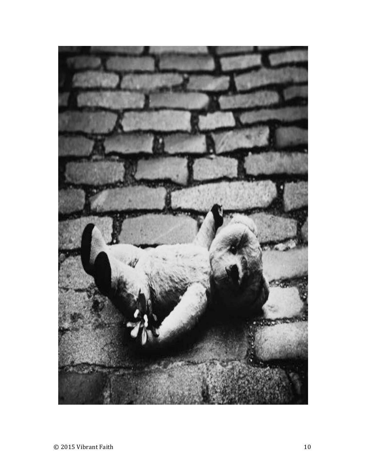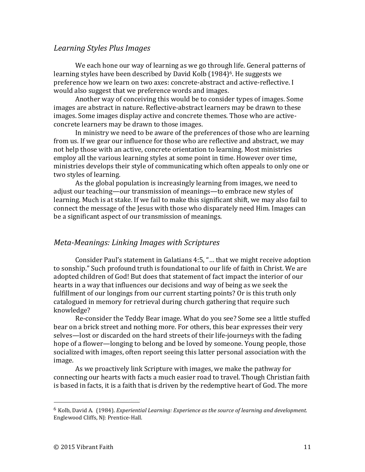#### *Learning"Styles Plus"Images*

We each hone our way of learning as we go through life. General patterns of learning styles have been described by David Kolb (1984)<sup>6</sup>. He suggests we preference how we learn on two axes: concrete-abstract and active-reflective. I would also suggest that we preference words and images.

Another way of conceiving this would be to consider types of images. Some images are abstract in nature. Reflective-abstract learners may be drawn to these images. Some images display active and concrete themes. Those who are activeconcrete learners may be drawn to those images.

In ministry we need to be aware of the preferences of those who are learning from us. If we gear our influence for those who are reflective and abstract, we may not help those with an active, concrete orientation to learning. Most ministries employ all the various learning styles at some point in time. However over time, ministries develops their style of communicating which often appeals to only one or two styles of learning.

As the global population is increasingly learning from images, we need to adjust our teaching—our transmission of meanings—to embrace new styles of learning. Much is at stake. If we fail to make this significant shift, we may also fail to connect the message of the Jesus with those who disparately need Him. Images can be a significant aspect of our transmission of meanings.

#### *Meta-Meanings: Linking Images with Scriptures*

Consider Paul's statement in Galatians 4:5, "... that we might receive adoption to sonship." Such profound truth is foundational to our life of faith in Christ. We are adopted children of God! But does that statement of fact impact the interior of our hearts in a way that influences our decisions and way of being as we seek the fulfillment of our longings from our current starting points? Or is this truth only catalogued in memory for retrieval during church gathering that require such knowledge?

Re-consider the Teddy Bear image. What do you see? Some see a little stuffed bear on a brick street and nothing more. For others, this bear expresses their very selves—lost or discarded on the hard streets of their life-journeys with the fading" hope of a flower—longing to belong and be loved by someone. Young people, those socialized with images, often report seeing this latter personal association with the image.

As we proactively link Scripture with images, we make the pathway for connecting our hearts with facts a much easier road to travel. Though Christian faith is based in facts, it is a faith that is driven by the redemptive heart of God. The more

<sup>&</sup>lt;sup>6</sup> Kolb, David A. (1984). *Experiential Learning: Experience as the source of learning and development.* Englewood Cliffs, NJ: Prentice-Hall.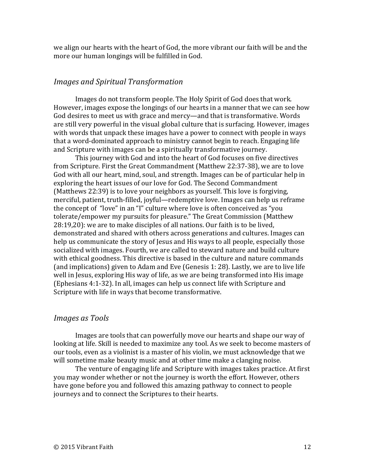we align our hearts with the heart of God, the more vibrant our faith will be and the more our human longings will be fulfilled in God.

#### *Images"and"Spiritual"Transformation*

Images do not transform people. The Holy Spirit of God does that work. However, images expose the longings of our hearts in a manner that we can see how God desires to meet us with grace and mercy—and that is transformative. Words are still very powerful in the visual global culture that is surfacing. However, images with words that unpack these images have a power to connect with people in ways" that a word-dominated approach to ministry cannot begin to reach. Engaging life and Scripture with images can be a spiritually transformative journey.

This journey with God and into the heart of God focuses on five directives from Scripture. First the Great Commandment (Matthew 22:37-38), we are to love God with all our heart, mind, soul, and strength. Images can be of particular help in exploring the heart issues of our love for God. The Second Commandment (Matthews  $22:39$ ) is to love your neighbors as yourself. This love is forgiving, merciful, patient, truth-filled, joyful—redemptive love. Images can help us reframe the concept of "love" in an "I" culture where love is often conceived as "you" tolerate/empower my pursuits for pleasure." The Great Commission (Matthew  $28:19,20$ : we are to make disciples of all nations. Our faith is to be lived, demonstrated and shared with others across generations and cultures. Images can help us communicate the story of Jesus and His ways to all people, especially those socialized with images. Fourth, we are called to steward nature and build culture with ethical goodness. This directive is based in the culture and nature commands (and implications) given to Adam and Eve (Genesis 1: 28). Lastly, we are to live life well in Jesus, exploring His way of life, as we are being transformed into His image (Ephesians  $4:1-32$ ). In all, images can help us connect life with Scripture and Scripture with life in ways that become transformative.

#### *Images"as"Tools*

Images are tools that can powerfully move our hearts and shape our way of looking at life. Skill is needed to maximize any tool. As we seek to become masters of our tools, even as a violinist is a master of his violin, we must acknowledge that we will sometime make beauty music and at other time make a clanging noise.

The venture of engaging life and Scripture with images takes practice. At first you may wonder whether or not the journey is worth the effort. However, others have gone before you and followed this amazing pathway to connect to people journeys and to connect the Scriptures to their hearts.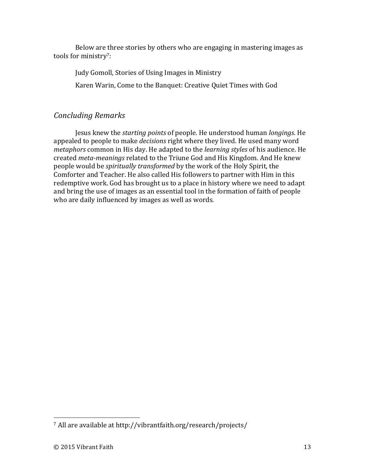Below are three stories by others who are engaging in mastering images as tools for ministry7:

Judy Gomoll, Stories of Using Images in Ministry

Karen Warin, Come to the Banquet: Creative Quiet Times with God

# *Concluding"Remarks*

Jesus knew the *starting points* of people. He understood human *longings*. He appealed to people to make *decisions* right where they lived. He used many word *metaphors* common in His day. He adapted to the *learning styles* of his audience. He created *meta-meanings* related to the Triune God and His Kingdom. And He knew people would be *spiritually transformed* by the work of the Holy Spirit, the Comforter and Teacher. He also called His followers to partner with Him in this redemptive work. God has brought us to a place in history where we need to adapt and bring the use of images as an essential tool in the formation of faith of people who are daily influenced by images as well as words.

<sup>&</sup>quot;"""""""""""""""""""""""""""""""""""""""""""""""""""""" <sup>7</sup> All are available at http://vibrantfaith.org/research/projects/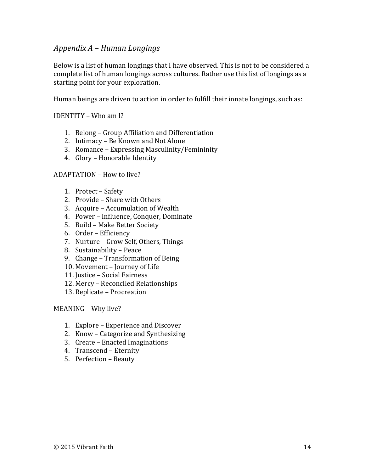## *Appendix"A – Human"Longings*

Below is a list of human longings that I have observed. This is not to be considered a complete list of human longings across cultures. Rather use this list of longings as a starting point for your exploration.

Human beings are driven to action in order to fulfill their innate longings, such as:

IDENTITY – Who am I?

- 1. Belong Group Affiliation and Differentiation
- 2. Intimacy Be Known and Not Alone
- 3. Romance Expressing Masculinity/Femininity
- 4. Glory Honorable Identity

#### ADAPTATION – How to live?

- 1. Protect Safety
- 2. Provide Share with Others
- 3. Acquire Accumulation of Wealth
- 4. Power Influence, Conquer, Dominate
- 5. Build Make Better Society
- 6. Order Efficiency
- 7. Nurture Grow Self, Others, Things
- 8. Sustainability Peace
- 9. Change Transformation of Being
- 10. Movement Journey of Life
- 11. Justice Social Fairness
- 12. Mercy Reconciled Relationships
- 13. Replicate Procreation

MEANING – Why live?

- 1. Explore Experience and Discover
- 2. Know Categorize and Synthesizing
- 3. Create Enacted Imaginations
- 4. Transcend Eternity
- 5. Perfection Beauty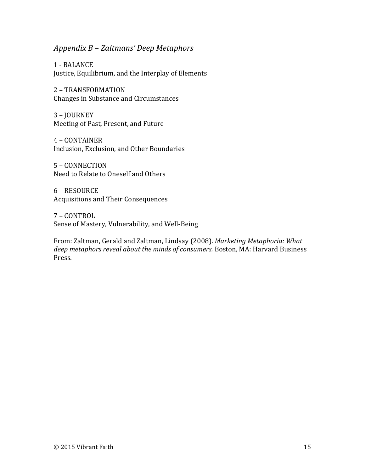# *Appendix"B – Zaltmans'"Deep"Metaphors*

1 - BALANCE Justice, Equilibrium, and the Interplay of Elements

2 – TRANSFORMATION Changes in Substance and Circumstances

3 – JOURNEY Meeting of Past, Present, and Future

4 – CONTAINER Inclusion, Exclusion, and Other Boundaries

5 - CONNECTION Need to Relate to Oneself and Others

6 – RESOURCE Acquisitions and Their Consequences

7 – CONTROL Sense of Mastery, Vulnerability, and Well-Being

From: Zaltman, Gerald and Zaltman, Lindsay (2008). *Marketing Metaphoria: What* deep metaphors reveal about the minds of consumers. Boston, MA: Harvard Business Press.